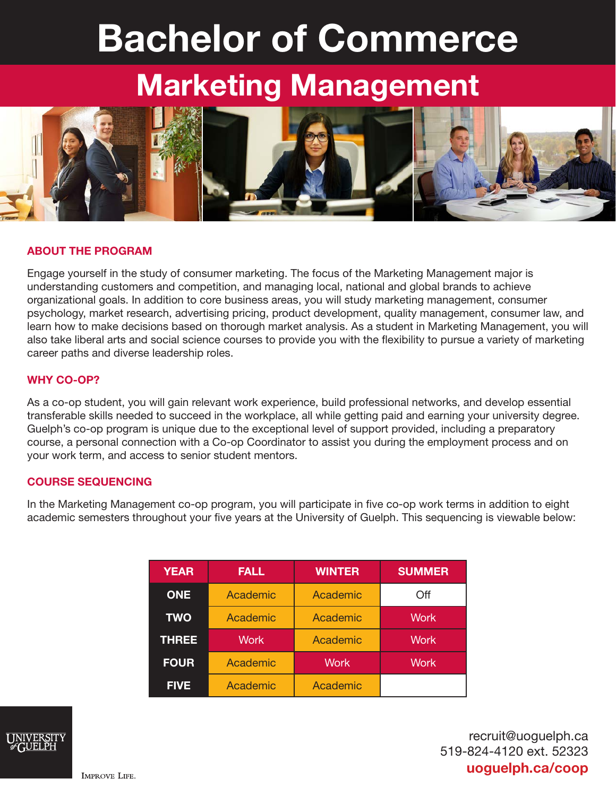# Bachelor of Commerce

## Marketing Management



#### ABOUT THE PROGRAM

Engage yourself in the study of consumer marketing. The focus of the Marketing Management major is understanding customers and competition, and managing local, national and global brands to achieve organizational goals. In addition to core business areas, you will study marketing management, consumer psychology, market research, advertising pricing, product development, quality management, consumer law, and learn how to make decisions based on thorough market analysis. As a student in Marketing Management, you will also take liberal arts and social science courses to provide you with the flexibility to pursue a variety of marketing career paths and diverse leadership roles.

#### WHY CO-OP?

As a co-op student, you will gain relevant work experience, build professional networks, and develop essential transferable skills needed to succeed in the workplace, all while getting paid and earning your university degree. Guelph's co-op program is unique due to the exceptional level of support provided, including a preparatory course, a personal connection with a Co-op Coordinator to assist you during the employment process and on your work term, and access to senior student mentors.

#### COURSE SEQUENCING

In the Marketing Management co-op program, you will participate in five co-op work terms in addition to eight academic semesters throughout your five years at the University of Guelph. This sequencing is viewable below:

| <b>YEAR</b>  | <b>FALL</b>       | <b>WINTER</b> | <b>SUMMER</b> |
|--------------|-------------------|---------------|---------------|
| <b>ONE</b>   | Academic          | Academic      | Off           |
| <b>TWO</b>   | Academic          | Academic      | <b>Work</b>   |
| <b>THREE</b> | Work <sup>'</sup> | Academic      | <b>Work</b>   |
| <b>FOUR</b>  | Academic          | <b>Work</b>   | <b>Work</b>   |
| <b>FIVE</b>  | Academic          | Academic      |               |



recruit@uoguelph.ca 519-824-4120 ext. 52323 uoguelph.ca/coop